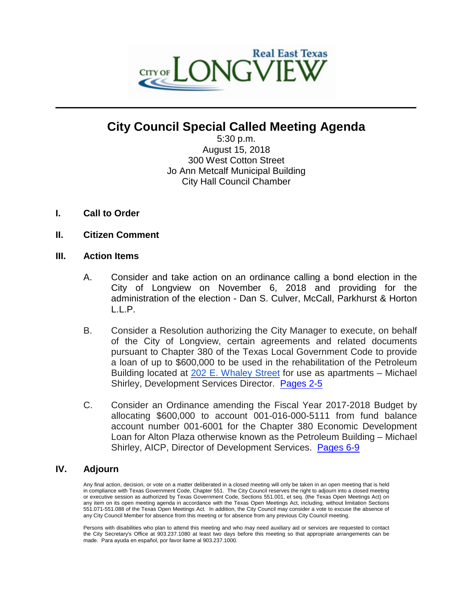

# **City Council Special Called Meeting Agenda**

 $\mathcal{L}_\mathcal{L} = \mathcal{L}_\mathcal{L}$  , where  $\mathcal{L}_\mathcal{L} = \mathcal{L}_\mathcal{L}$  ,  $\mathcal{L}_\mathcal{L} = \mathcal{L}_\mathcal{L}$  ,  $\mathcal{L}_\mathcal{L} = \mathcal{L}_\mathcal{L}$  ,  $\mathcal{L}_\mathcal{L} = \mathcal{L}_\mathcal{L}$ 

5:30 p.m. August 15, 2018 300 West Cotton Street Jo Ann Metcalf Municipal Building City Hall Council Chamber

- **I. Call to Order**
- **II. Citizen Comment**

#### **III. Action Items**

- A. Consider and take action on an ordinance calling a bond election in the City of Longview on November 6, 2018 and providing for the administration of the election - Dan S. Culver, McCall, Parkhurst & Horton L.L.P.
- B. Consider a Resolution authorizing the City Manager to execute, on behalf of the City of Longview, certain agreements and related documents pursuant to Chapter 380 of the Texas Local Government Code to provide a loan of up to \$600,000 to be used in the rehabilitation of the Petroleum Building located at [202 E. Whaley Street](https://maps.google.com/?q=202+E.+Whaley+Street&entry=gmail&source=g) for use as apartments – Michael Shirley, Development Services Director. [Pages 2-5](#page-1-0)
- C. Consider an Ordinance amending the Fiscal Year 2017-2018 Budget by allocating \$600,000 to account 001-016-000-5111 from fund balance account number 001-6001 for the Chapter 380 Economic Development Loan for Alton Plaza otherwise known as the Petroleum Building – Michael Shirley, AICP, Director of Development Services. [Pages 6-9](#page-5-0)

### **IV. Adjourn**

Any final action, decision, or vote on a matter deliberated in a closed meeting will only be taken in an open meeting that is held in compliance with Texas Government Code, Chapter 551. The City Council reserves the right to adjourn into a closed meeting or executive session as authorized by Texas Government Code, Sections 551.001, et seq. (the Texas Open Meetings Act) on any item on its open meeting agenda in accordance with the Texas Open Meetings Act, including, without limitation Sections 551.071-551.088 of the Texas Open Meetings Act. In addition, the City Council may consider a vote to excuse the absence of any City Council Member for absence from this meeting or for absence from any previous City Council meeting.

Persons with disabilities who plan to attend this meeting and who may need auxiliary aid or services are requested to contact the City Secretary's Office at 903.237.1080 at least two days before this meeting so that appropriate arrangements can be made. Para ayuda en español, por favor llame al 903.237.1000.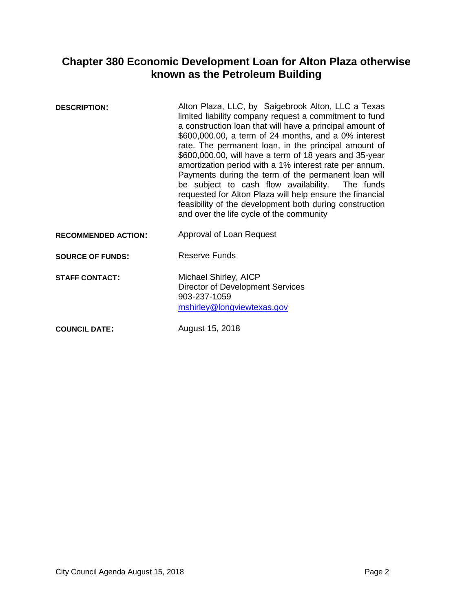# <span id="page-1-0"></span>**Chapter 380 Economic Development Loan for Alton Plaza otherwise known as the Petroleum Building**

| <b>DESCRIPTION:</b>        | Alton Plaza, LLC, by Saigebrook Alton, LLC a Texas<br>limited liability company request a commitment to fund<br>a construction loan that will have a principal amount of<br>\$600,000.00, a term of 24 months, and a 0% interest<br>rate. The permanent loan, in the principal amount of<br>\$600,000.00, will have a term of 18 years and 35-year<br>amortization period with a 1% interest rate per annum.<br>Payments during the term of the permanent loan will<br>be subject to cash flow availability. The funds<br>requested for Alton Plaza will help ensure the financial<br>feasibility of the development both during construction<br>and over the life cycle of the community |
|----------------------------|-------------------------------------------------------------------------------------------------------------------------------------------------------------------------------------------------------------------------------------------------------------------------------------------------------------------------------------------------------------------------------------------------------------------------------------------------------------------------------------------------------------------------------------------------------------------------------------------------------------------------------------------------------------------------------------------|
| <b>RECOMMENDED ACTION:</b> | Approval of Loan Request                                                                                                                                                                                                                                                                                                                                                                                                                                                                                                                                                                                                                                                                  |
| <b>SOURCE OF FUNDS:</b>    | Reserve Funds                                                                                                                                                                                                                                                                                                                                                                                                                                                                                                                                                                                                                                                                             |
| <b>STAFF CONTACT:</b>      | Michael Shirley, AICP<br>Director of Development Services<br>903-237-1059<br>mshirley@longviewtexas.gov                                                                                                                                                                                                                                                                                                                                                                                                                                                                                                                                                                                   |

**COUNCIL DATE:** August 15, 2018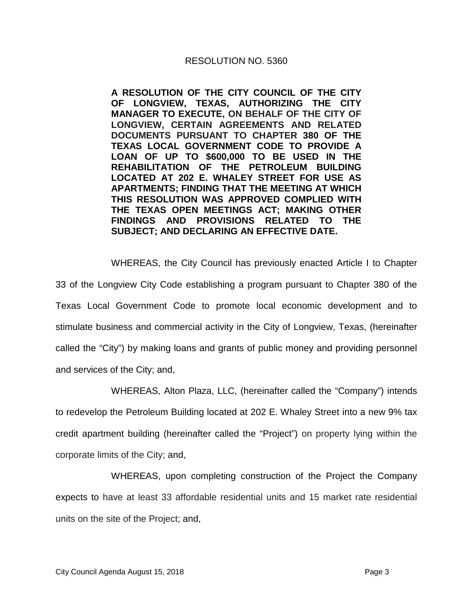#### RESOLUTION NO. 5360

**A RESOLUTION OF THE CITY COUNCIL OF THE CITY OF LONGVIEW, TEXAS, AUTHORIZING THE CITY MANAGER TO EXECUTE, ON BEHALF OF THE CITY OF LONGVIEW, CERTAIN AGREEMENTS AND RELATED DOCUMENTS PURSUANT TO CHAPTER 380 OF THE TEXAS LOCAL GOVERNMENT CODE TO PROVIDE A LOAN OF UP TO \$600,000 TO BE USED IN THE REHABILITATION OF THE PETROLEUM BUILDING LOCATED AT [202 E. WHALEY STREET](https://maps.google.com/?q=202+E.+Whaley+Street&entry=gmail&source=g) FOR USE AS APARTMENTS; FINDING THAT THE MEETING AT WHICH THIS RESOLUTION WAS APPROVED COMPLIED WITH THE TEXAS OPEN MEETINGS ACT; MAKING OTHER FINDINGS AND PROVISIONS RELATED TO THE SUBJECT; AND DECLARING AN EFFECTIVE DATE.**

WHEREAS, the City Council has previously enacted Article I to Chapter 33 of the Longview City Code establishing a program pursuant to Chapter 380 of the Texas Local Government Code to promote local economic development and to stimulate business and commercial activity in the City of Longview, Texas, (hereinafter called the "City") by making loans and grants of public money and providing personnel and services of the City; and,

WHEREAS, Alton Plaza, LLC, (hereinafter called the "Company") intends to redevelop the Petroleum Building located at [202 E. Whaley Street](https://maps.google.com/?q=202+E.+Whaley+Street&entry=gmail&source=g) into a new 9% tax credit apartment building (hereinafter called the "Project") on property lying within the corporate limits of the City; and,

WHEREAS, upon completing construction of the Project the Company expects to have at least 33 affordable residential units and 15 market rate residential units on the site of the Project; and,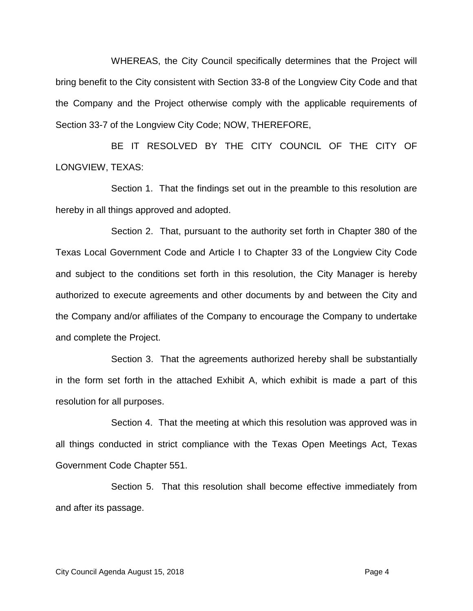WHEREAS, the City Council specifically determines that the Project will bring benefit to the City consistent with Section 33-8 of the Longview City Code and that the Company and the Project otherwise comply with the applicable requirements of Section 33-7 of the Longview City Code; NOW, THEREFORE,

BE IT RESOLVED BY THE CITY COUNCIL OF THE CITY OF LONGVIEW, TEXAS:

Section 1. That the findings set out in the preamble to this resolution are hereby in all things approved and adopted.

Section 2. That, pursuant to the authority set forth in Chapter 380 of the Texas Local Government Code and Article I to Chapter 33 of the Longview City Code and subject to the conditions set forth in this resolution, the City Manager is hereby authorized to execute agreements and other documents by and between the City and the Company and/or affiliates of the Company to encourage the Company to undertake and complete the Project.

Section 3. That the agreements authorized hereby shall be substantially in the form set forth in the attached Exhibit A, which exhibit is made a part of this resolution for all purposes.

Section 4. That the meeting at which this resolution was approved was in all things conducted in strict compliance with the Texas Open Meetings Act, Texas Government Code Chapter 551.

Section 5. That this resolution shall become effective immediately from and after its passage.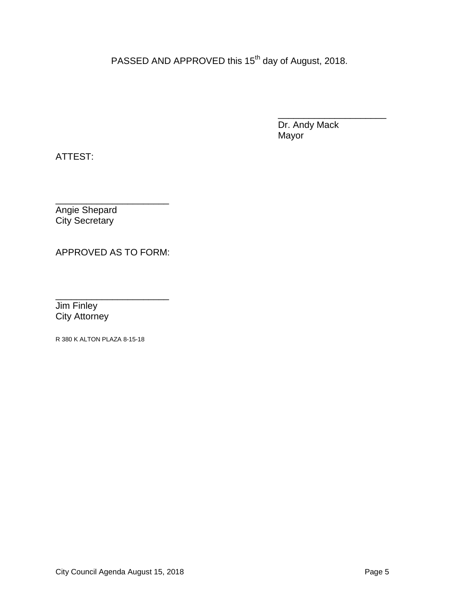PASSED AND APPROVED this 15<sup>th</sup> day of August, 2018.

\_\_\_\_\_\_\_\_\_\_\_\_\_\_\_\_\_\_\_\_\_ Dr. Andy Mack Mayor

ATTEST:

\_\_\_\_\_\_\_\_\_\_\_\_\_\_\_\_\_\_\_\_\_\_ Angie Shepard City Secretary

APPROVED AS TO FORM:

\_\_\_\_\_\_\_\_\_\_\_\_\_\_\_\_\_\_\_\_\_\_ Jim Finley City Attorney

R 380 K ALTON PLAZA 8-15-18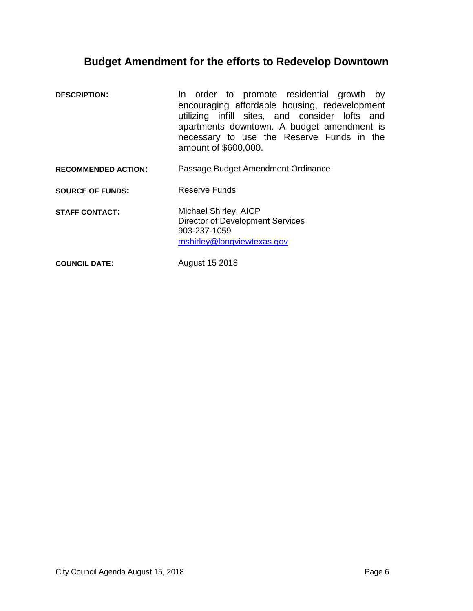## <span id="page-5-0"></span>**Budget Amendment for the efforts to Redevelop Downtown**

- **DESCRIPTION:** In order to promote residential growth by encouraging affordable housing, redevelopment utilizing infill sites, and consider lofts and apartments downtown. A budget amendment is necessary to use the Reserve Funds in the amount of \$600,000. **RECOMMENDED ACTION:** Passage Budget Amendment Ordinance **SOURCE OF FUNDS:** Reserve Funds
- **STAFF CONTACT:** Michael Shirley, AICP Director of Development Services 903-237-1059 mshirley@longviewtexas.gov

**COUNCIL DATE:** August 15 2018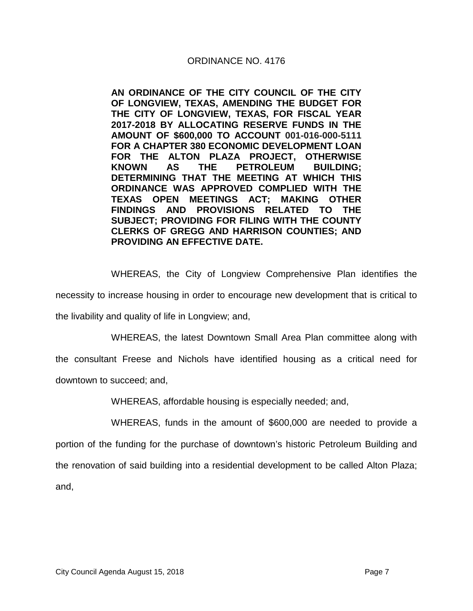### ORDINANCE NO. 4176

**AN ORDINANCE OF THE CITY COUNCIL OF THE CITY OF LONGVIEW, TEXAS, AMENDING THE BUDGET FOR THE CITY OF LONGVIEW, TEXAS, FOR FISCAL YEAR 2017-2018 BY ALLOCATING RESERVE FUNDS IN THE AMOUNT OF \$600,000 TO ACCOUNT 001-016-000-5111 FOR A CHAPTER 380 ECONOMIC DEVELOPMENT LOAN FOR THE ALTON PLAZA PROJECT, OTHERWISE KNOWN AS THE PETROLEUM BUILDING; DETERMINING THAT THE MEETING AT WHICH THIS ORDINANCE WAS APPROVED COMPLIED WITH THE TEXAS OPEN MEETINGS ACT; MAKING OTHER FINDINGS AND PROVISIONS RELATED TO THE SUBJECT; PROVIDING FOR FILING WITH THE COUNTY CLERKS OF GREGG AND HARRISON COUNTIES; AND PROVIDING AN EFFECTIVE DATE.**

WHEREAS, the City of Longview Comprehensive Plan identifies the

necessity to increase housing in order to encourage new development that is critical to

the livability and quality of life in Longview; and,

WHEREAS, the latest Downtown Small Area Plan committee along with

the consultant Freese and Nichols have identified housing as a critical need for

downtown to succeed; and,

WHEREAS, affordable housing is especially needed; and,

WHEREAS, funds in the amount of \$600,000 are needed to provide a portion of the funding for the purchase of downtown's historic Petroleum Building and the renovation of said building into a residential development to be called Alton Plaza; and,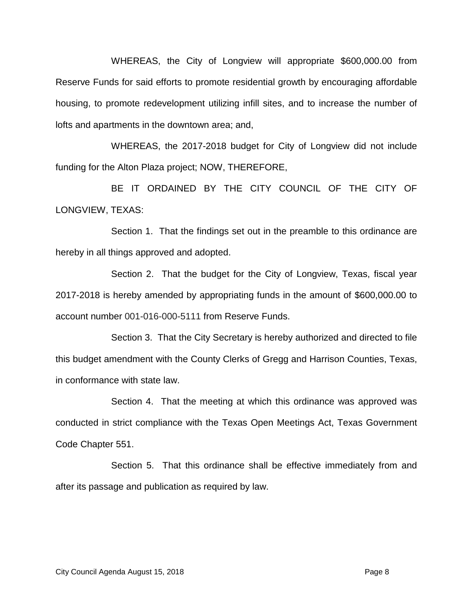WHEREAS, the City of Longview will appropriate \$600,000.00 from Reserve Funds for said efforts to promote residential growth by encouraging affordable housing, to promote redevelopment utilizing infill sites, and to increase the number of lofts and apartments in the downtown area; and,

WHEREAS, the 2017-2018 budget for City of Longview did not include funding for the Alton Plaza project; NOW, THEREFORE,

BE IT ORDAINED BY THE CITY COUNCIL OF THE CITY OF LONGVIEW, TEXAS:

Section 1. That the findings set out in the preamble to this ordinance are hereby in all things approved and adopted.

Section 2. That the budget for the City of Longview, Texas, fiscal year 2017-2018 is hereby amended by appropriating funds in the amount of \$600,000.00 to account number 001-016-000-5111 from Reserve Funds.

Section 3. That the City Secretary is hereby authorized and directed to file this budget amendment with the County Clerks of Gregg and Harrison Counties, Texas, in conformance with state law.

Section 4. That the meeting at which this ordinance was approved was conducted in strict compliance with the Texas Open Meetings Act, Texas Government Code Chapter 551.

Section 5. That this ordinance shall be effective immediately from and after its passage and publication as required by law.